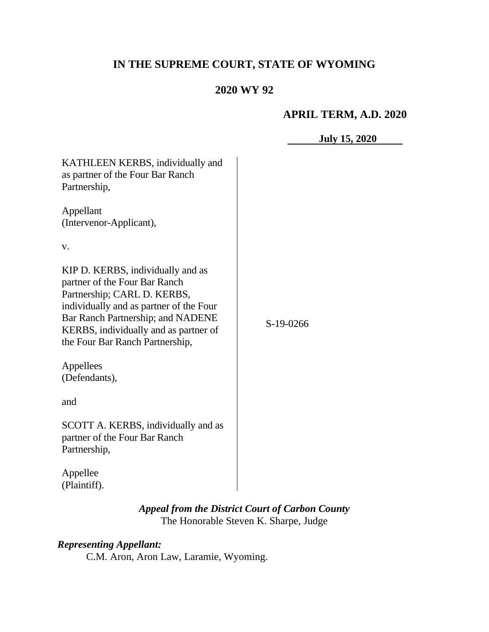# **IN THE SUPREME COURT, STATE OF WYOMING**

# **2020 WY 92**

### **APRIL TERM, A.D. 2020**

|                                                                                                                                                                                                                                                               | <b>July 15, 2020</b> |
|---------------------------------------------------------------------------------------------------------------------------------------------------------------------------------------------------------------------------------------------------------------|----------------------|
| KATHLEEN KERBS, individually and<br>as partner of the Four Bar Ranch<br>Partnership,                                                                                                                                                                          |                      |
| Appellant<br>(Intervenor-Applicant),                                                                                                                                                                                                                          |                      |
| V.                                                                                                                                                                                                                                                            |                      |
| KIP D. KERBS, individually and as<br>partner of the Four Bar Ranch<br>Partnership; CARL D. KERBS,<br>individually and as partner of the Four<br>Bar Ranch Partnership; and NADENE<br>KERBS, individually and as partner of<br>the Four Bar Ranch Partnership, | S-19-0266            |
| Appellees<br>(Defendants),                                                                                                                                                                                                                                    |                      |
| and                                                                                                                                                                                                                                                           |                      |
| SCOTT A. KERBS, individually and as<br>partner of the Four Bar Ranch<br>Partnership,                                                                                                                                                                          |                      |
| Appellee<br>(Plaintiff).                                                                                                                                                                                                                                      |                      |

## *Appeal from the District Court of Carbon County* The Honorable Steven K. Sharpe, Judge

# *Representing Appellant:*

C.M. Aron, Aron Law, Laramie, Wyoming.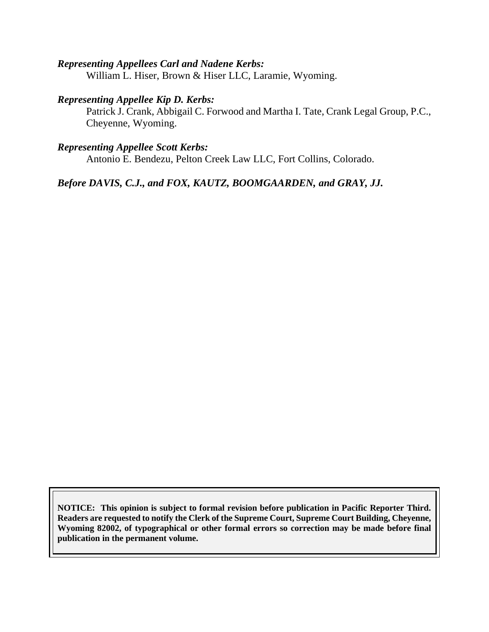#### *Representing Appellees Carl and Nadene Kerbs:*

William L. Hiser, Brown & Hiser LLC, Laramie, Wyoming.

#### *Representing Appellee Kip D. Kerbs:*

Patrick J. Crank, Abbigail C. Forwood and Martha I. Tate, Crank Legal Group, P.C., Cheyenne, Wyoming.

### *Representing Appellee Scott Kerbs:*

Antonio E. Bendezu, Pelton Creek Law LLC, Fort Collins, Colorado.

*Before DAVIS, C.J., and FOX, KAUTZ, BOOMGAARDEN, and GRAY, JJ.*

**NOTICE: This opinion is subject to formal revision before publication in Pacific Reporter Third. Readers are requested to notify the Clerk of the Supreme Court, Supreme Court Building, Cheyenne, Wyoming 82002, of typographical or other formal errors so correction may be made before final publication in the permanent volume.**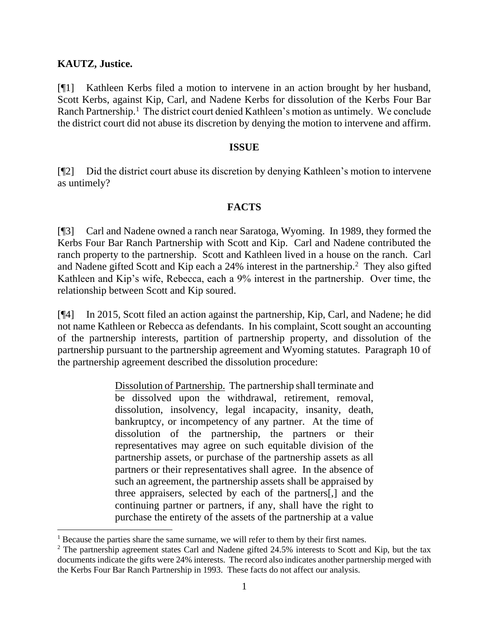#### **KAUTZ, Justice.**

[¶1] Kathleen Kerbs filed a motion to intervene in an action brought by her husband, Scott Kerbs, against Kip, Carl, and Nadene Kerbs for dissolution of the Kerbs Four Bar Ranch Partnership.<sup>1</sup> The district court denied Kathleen's motion as untimely. We conclude the district court did not abuse its discretion by denying the motion to intervene and affirm.

#### **ISSUE**

[¶2] Did the district court abuse its discretion by denying Kathleen's motion to intervene as untimely?

### **FACTS**

[¶3] Carl and Nadene owned a ranch near Saratoga, Wyoming. In 1989, they formed the Kerbs Four Bar Ranch Partnership with Scott and Kip. Carl and Nadene contributed the ranch property to the partnership. Scott and Kathleen lived in a house on the ranch. Carl and Nadene gifted Scott and Kip each a  $24\%$  interest in the partnership.<sup>2</sup> They also gifted Kathleen and Kip's wife, Rebecca, each a 9% interest in the partnership. Over time, the relationship between Scott and Kip soured.

[¶4] In 2015, Scott filed an action against the partnership, Kip, Carl, and Nadene; he did not name Kathleen or Rebecca as defendants. In his complaint, Scott sought an accounting of the partnership interests, partition of partnership property, and dissolution of the partnership pursuant to the partnership agreement and Wyoming statutes. Paragraph 10 of the partnership agreement described the dissolution procedure:

> Dissolution of Partnership. The partnership shall terminate and be dissolved upon the withdrawal, retirement, removal, dissolution, insolvency, legal incapacity, insanity, death, bankruptcy, or incompetency of any partner. At the time of dissolution of the partnership, the partners or their representatives may agree on such equitable division of the partnership assets, or purchase of the partnership assets as all partners or their representatives shall agree. In the absence of such an agreement, the partnership assets shall be appraised by three appraisers, selected by each of the partners[,] and the continuing partner or partners, if any, shall have the right to purchase the entirety of the assets of the partnership at a value

<sup>&</sup>lt;sup>1</sup> Because the parties share the same surname, we will refer to them by their first names.

<sup>&</sup>lt;sup>2</sup> The partnership agreement states Carl and Nadene gifted 24.5% interests to Scott and Kip, but the tax documents indicate the gifts were 24% interests. The record also indicates another partnership merged with the Kerbs Four Bar Ranch Partnership in 1993. These facts do not affect our analysis.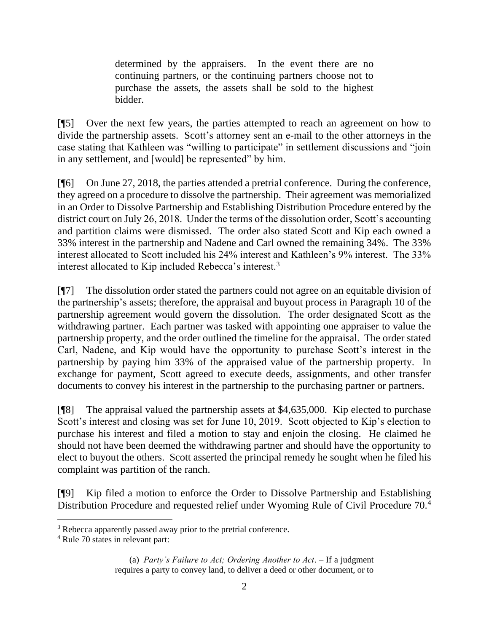determined by the appraisers. In the event there are no continuing partners, or the continuing partners choose not to purchase the assets, the assets shall be sold to the highest bidder.

[¶5] Over the next few years, the parties attempted to reach an agreement on how to divide the partnership assets. Scott's attorney sent an e-mail to the other attorneys in the case stating that Kathleen was "willing to participate" in settlement discussions and "join in any settlement, and [would] be represented" by him.

[¶6] On June 27, 2018, the parties attended a pretrial conference. During the conference, they agreed on a procedure to dissolve the partnership. Their agreement was memorialized in an Order to Dissolve Partnership and Establishing Distribution Procedure entered by the district court on July 26, 2018. Under the terms of the dissolution order, Scott's accounting and partition claims were dismissed. The order also stated Scott and Kip each owned a 33% interest in the partnership and Nadene and Carl owned the remaining 34%. The 33% interest allocated to Scott included his 24% interest and Kathleen's 9% interest. The 33% interest allocated to Kip included Rebecca's interest.<sup>3</sup>

[¶7] The dissolution order stated the partners could not agree on an equitable division of the partnership's assets; therefore, the appraisal and buyout process in Paragraph 10 of the partnership agreement would govern the dissolution. The order designated Scott as the withdrawing partner. Each partner was tasked with appointing one appraiser to value the partnership property, and the order outlined the timeline for the appraisal. The order stated Carl, Nadene, and Kip would have the opportunity to purchase Scott's interest in the partnership by paying him 33% of the appraised value of the partnership property. In exchange for payment, Scott agreed to execute deeds, assignments, and other transfer documents to convey his interest in the partnership to the purchasing partner or partners.

[¶8] The appraisal valued the partnership assets at \$4,635,000. Kip elected to purchase Scott's interest and closing was set for June 10, 2019. Scott objected to Kip's election to purchase his interest and filed a motion to stay and enjoin the closing. He claimed he should not have been deemed the withdrawing partner and should have the opportunity to elect to buyout the others. Scott asserted the principal remedy he sought when he filed his complaint was partition of the ranch.

[¶9] Kip filed a motion to enforce the Order to Dissolve Partnership and Establishing Distribution Procedure and requested relief under Wyoming Rule of Civil Procedure 70.<sup>4</sup>

(a) *Party's Failure to Act; Ordering Another to Act*. – If a judgment requires a party to convey land, to deliver a deed or other document, or to

<sup>&</sup>lt;sup>3</sup> Rebecca apparently passed away prior to the pretrial conference.

<sup>4</sup> Rule 70 states in relevant part: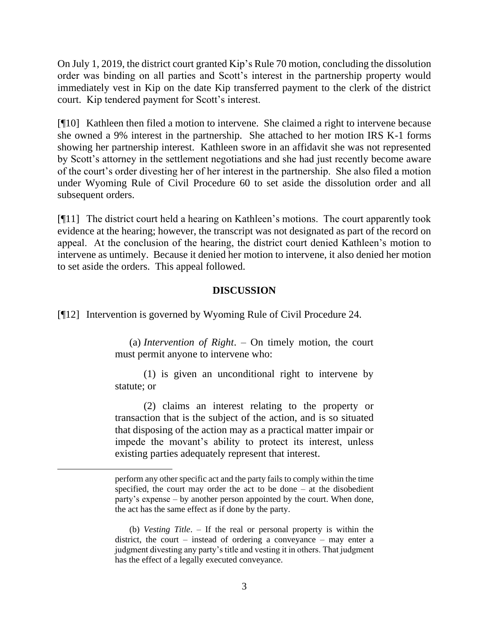On July 1, 2019, the district court granted Kip's Rule 70 motion, concluding the dissolution order was binding on all parties and Scott's interest in the partnership property would immediately vest in Kip on the date Kip transferred payment to the clerk of the district court. Kip tendered payment for Scott's interest.

[¶10] Kathleen then filed a motion to intervene. She claimed a right to intervene because she owned a 9% interest in the partnership. She attached to her motion IRS K-1 forms showing her partnership interest. Kathleen swore in an affidavit she was not represented by Scott's attorney in the settlement negotiations and she had just recently become aware of the court's order divesting her of her interest in the partnership. She also filed a motion under Wyoming Rule of Civil Procedure 60 to set aside the dissolution order and all subsequent orders.

[¶11] The district court held a hearing on Kathleen's motions. The court apparently took evidence at the hearing; however, the transcript was not designated as part of the record on appeal. At the conclusion of the hearing, the district court denied Kathleen's motion to intervene as untimely. Because it denied her motion to intervene, it also denied her motion to set aside the orders. This appeal followed.

#### **DISCUSSION**

[¶12] Intervention is governed by Wyoming Rule of Civil Procedure 24.

(a) *Intervention of Right*. – On timely motion, the court must permit anyone to intervene who:

(1) is given an unconditional right to intervene by statute; or

(2) claims an interest relating to the property or transaction that is the subject of the action, and is so situated that disposing of the action may as a practical matter impair or impede the movant's ability to protect its interest, unless existing parties adequately represent that interest.

perform any other specific act and the party fails to comply within the time specified, the court may order the act to be done – at the disobedient party's expense – by another person appointed by the court. When done, the act has the same effect as if done by the party.

<sup>(</sup>b) *Vesting Title*. – If the real or personal property is within the district, the court – instead of ordering a conveyance – may enter a judgment divesting any party's title and vesting it in others. That judgment has the effect of a legally executed conveyance.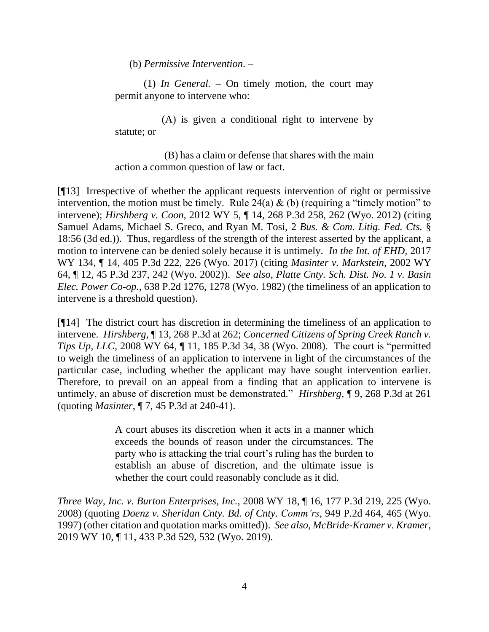(b) *Permissive Intervention*. –

(1) *In General.* – On timely motion, the court may permit anyone to intervene who:

(A) is given a conditional right to intervene by statute; or

(B) has a claim or defense that shares with the main action a common question of law or fact.

[¶13] Irrespective of whether the applicant requests intervention of right or permissive intervention, the motion must be timely. Rule 24(a)  $\&$  (b) (requiring a "timely motion" to intervene); *Hirshberg v. Coon,* 2012 WY 5, ¶ 14, 268 P.3d 258, 262 (Wyo. 2012) (citing Samuel Adams, Michael S. Greco, and Ryan M. Tosi, 2 *[Bus. & Com. Litig. Fed. Cts.](http://www.westlaw.com/Link/Document/FullText?findType=Y&serNum=0306347702&pubNum=0117621&originatingDoc=Ib3db208d3b8f11e18da7c4363d0963b0&refType=TS&originationContext=document&vr=3.0&rs=cblt1.0&transitionType=DocumentItem&contextData=(sc.UserEnteredCitation))* § [18:56 \(3d ed.\)\)](http://www.westlaw.com/Link/Document/FullText?findType=Y&serNum=0306347702&pubNum=0117621&originatingDoc=Ib3db208d3b8f11e18da7c4363d0963b0&refType=TS&originationContext=document&vr=3.0&rs=cblt1.0&transitionType=DocumentItem&contextData=(sc.UserEnteredCitation)). Thus, regardless of the strength of the interest asserted by the applicant, a motion to intervene can be denied solely because it is untimely. *In the Int. of EHD,* 2017 WY 134, ¶ 14, 405 P.3d 222, 226 (Wyo. 2017) (citing *[Masinter v. Markstein,](http://www.westlaw.com/Link/Document/FullText?findType=Y&serNum=2002263814&pubNum=0004645&originatingDoc=Ib3db208d3b8f11e18da7c4363d0963b0&refType=RP&fi=co_pp_sp_4645_240&originationContext=document&vr=3.0&rs=cblt1.0&transitionType=DocumentItem&contextData=(sc.UserEnteredCitation)#co_pp_sp_4645_240)* 2002 WY [64, ¶ 12, 45 P.3d 237, 242 \(Wyo. 2002\)\)](http://www.westlaw.com/Link/Document/FullText?findType=Y&serNum=2002263814&pubNum=0004645&originatingDoc=Ib3db208d3b8f11e18da7c4363d0963b0&refType=RP&fi=co_pp_sp_4645_240&originationContext=document&vr=3.0&rs=cblt1.0&transitionType=DocumentItem&contextData=(sc.UserEnteredCitation)#co_pp_sp_4645_240). *See also, Platte Cnty. Sch. Dist. No. 1 v. Basin Elec. Power Co-op.,* 638 P.2d 1276, 1278 (Wyo. 1982) (the timeliness of an application to intervene is a threshold question).

[¶14] The district court has discretion in determining the timeliness of an application to intervene. *Hirshberg,* ¶ 13, 268 P.3d at 262; *Concerned Citizens of Spring Creek Ranch v. Tips Up, LLC, 2008 WY 64,* 11, 185 P.3d 34, 38 (Wyo. 2008). The court is "permitted to weigh the timeliness of an application to intervene in light of the circumstances of the particular case, including whether the applicant may have sought intervention earlier. Therefore, to prevail on an appeal from a finding that an application to intervene is untimely, an abuse of discretion must be demonstrated." *Hirshberg,* ¶ 9, 268 P.3d at 261 (quoting *Masinter,* [¶ 7, 45 P.3d at 240-41\)](http://www.westlaw.com/Link/Document/FullText?findType=Y&serNum=2002263814&pubNum=0004645&originatingDoc=Ib3db208d3b8f11e18da7c4363d0963b0&refType=RP&fi=co_pp_sp_4645_240&originationContext=document&vr=3.0&rs=cblt1.0&transitionType=DocumentItem&contextData=(sc.UserEnteredCitation)#co_pp_sp_4645_240).

> A court abuses its discretion when it acts in a manner which exceeds the bounds of reason under the circumstances. The party who is attacking the trial court's ruling has the burden to establish an abuse of discretion, and the ultimate issue is whether the court could reasonably conclude as it did.

*Three Way, Inc. v. Burton Enterprises, Inc.*[, 2008 WY 18, ¶ 16, 177 P.3d 219, 225 \(Wyo.](http://www.westlaw.com/Link/Document/FullText?findType=Y&serNum=2015298682&pubNum=0004645&originatingDoc=I41dd08e0202e11e9a1b0e6625e646f8f&refType=RP&fi=co_pp_sp_4645_225&originationContext=document&vr=3.0&rs=cblt1.0&transitionType=DocumentItem&contextData=(sc.Search)#co_pp_sp_4645_225)  [2008\)](http://www.westlaw.com/Link/Document/FullText?findType=Y&serNum=2015298682&pubNum=0004645&originatingDoc=I41dd08e0202e11e9a1b0e6625e646f8f&refType=RP&fi=co_pp_sp_4645_225&originationContext=document&vr=3.0&rs=cblt1.0&transitionType=DocumentItem&contextData=(sc.Search)#co_pp_sp_4645_225) (quoting *Doenz v. Sheridan Cnty. Bd. of Cnty. Comm'rs*[, 949 P.2d 464, 465 \(Wyo.](http://www.westlaw.com/Link/Document/FullText?findType=Y&serNum=1997245037&pubNum=0000661&originatingDoc=I41dd08e0202e11e9a1b0e6625e646f8f&refType=RP&fi=co_pp_sp_661_465&originationContext=document&vr=3.0&rs=cblt1.0&transitionType=DocumentItem&contextData=(sc.Search)#co_pp_sp_661_465)  [1997\)](http://www.westlaw.com/Link/Document/FullText?findType=Y&serNum=1997245037&pubNum=0000661&originatingDoc=I41dd08e0202e11e9a1b0e6625e646f8f&refType=RP&fi=co_pp_sp_661_465&originationContext=document&vr=3.0&rs=cblt1.0&transitionType=DocumentItem&contextData=(sc.Search)#co_pp_sp_661_465) (other citation and quotation marks omitted)). *See also, McBride-Kramer v. Kramer,*  2019 WY 10, ¶ 11, 433 P.3d 529, 532 (Wyo. 2019).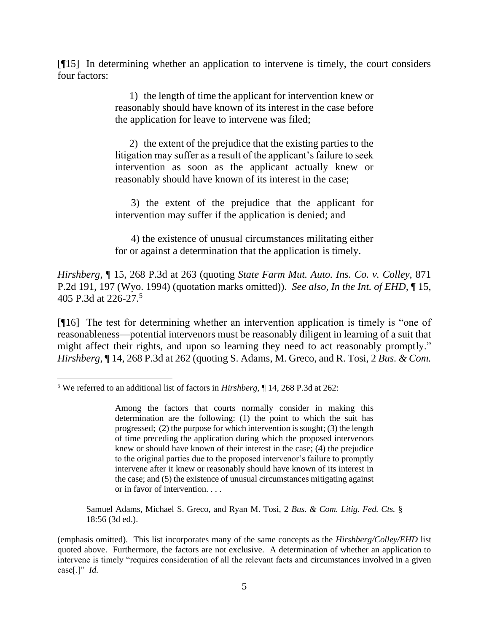[¶15] In determining whether an application to intervene is timely, the court considers four factors:

> 1) the length of time the applicant for intervention knew or reasonably should have known of its interest in the case before the application for leave to intervene was filed;

> 2) the extent of the prejudice that the existing parties to the litigation may suffer as a result of the applicant's failure to seek intervention as soon as the applicant actually knew or reasonably should have known of its interest in the case;

> 3) the extent of the prejudice that the applicant for intervention may suffer if the application is denied; and

> 4) the existence of unusual circumstances militating either for or against a determination that the application is timely.

*Hirshberg,* ¶ 15, 268 P.3d at 263 (quoting *[State Farm Mut. Auto. Ins. Co. v. Colley,](http://www.westlaw.com/Link/Document/FullText?findType=Y&serNum=1994070464&pubNum=0000661&originatingDoc=Ib3db208d3b8f11e18da7c4363d0963b0&refType=RP&fi=co_pp_sp_661_197&originationContext=document&vr=3.0&rs=cblt1.0&transitionType=DocumentItem&contextData=(sc.UserEnteredCitation)#co_pp_sp_661_197)* 871 [P.2d 191, 197 \(Wyo. 1994\)](http://www.westlaw.com/Link/Document/FullText?findType=Y&serNum=1994070464&pubNum=0000661&originatingDoc=Ib3db208d3b8f11e18da7c4363d0963b0&refType=RP&fi=co_pp_sp_661_197&originationContext=document&vr=3.0&rs=cblt1.0&transitionType=DocumentItem&contextData=(sc.UserEnteredCitation)#co_pp_sp_661_197) (quotation marks omitted)). *See also, In the Int. of EHD,* ¶ 15, 405 P.3d at 226-27.<sup>5</sup>

[¶16] The test for determining whether an intervention application is timely is "one of reasonableness—potential intervenors must be reasonably diligent in learning of a suit that might affect their rights, and upon so learning they need to act reasonably promptly." *Hirshberg,* ¶ 14, 268 P.3d at 262 (quoting S. Adams, M. Greco, and R. Tosi, 2 *[Bus. & Com.](http://www.westlaw.com/Link/Document/FullText?findType=Y&serNum=0306347702&pubNum=0117621&originatingDoc=Ib3db208d3b8f11e18da7c4363d0963b0&refType=TS&originationContext=document&vr=3.0&rs=cblt1.0&transitionType=DocumentItem&contextData=(sc.UserEnteredCitation))* 

Samuel Adams, Michael S. Greco, and Ryan M. Tosi, 2 *[Bus. & Com. Litig. Fed. Cts.](http://www.westlaw.com/Link/Document/FullText?findType=Y&serNum=0306347702&pubNum=0117621&originatingDoc=Ib3db208d3b8f11e18da7c4363d0963b0&refType=TS&originationContext=document&vr=3.0&rs=cblt1.0&transitionType=DocumentItem&contextData=(sc.UserEnteredCitation))* § [18:56 \(3d ed.\).](http://www.westlaw.com/Link/Document/FullText?findType=Y&serNum=0306347702&pubNum=0117621&originatingDoc=Ib3db208d3b8f11e18da7c4363d0963b0&refType=TS&originationContext=document&vr=3.0&rs=cblt1.0&transitionType=DocumentItem&contextData=(sc.UserEnteredCitation))

(emphasis omitted). This list incorporates many of the same concepts as the *Hirshberg/Colley/EHD* list quoted above. Furthermore, the factors are not exclusive. A determination of whether an application to intervene is timely "requires consideration of all the relevant facts and circumstances involved in a given case[.]" *Id.* 

<sup>5</sup> We referred to an additional list of factors in *Hirshberg,* ¶ 14, 268 P.3d at 262:

Among the factors that courts normally consider in making this determination are the following: (1) the point to which the suit has progressed; (2) the purpose for which intervention is sought; (3) the length of time preceding the application during which the proposed intervenors knew or should have known of their interest in the case; (4) the prejudice to the original parties due to the proposed intervenor's failure to promptly intervene after it knew or reasonably should have known of its interest in the case; and (5) the existence of unusual circumstances mitigating against or in favor of intervention. . . .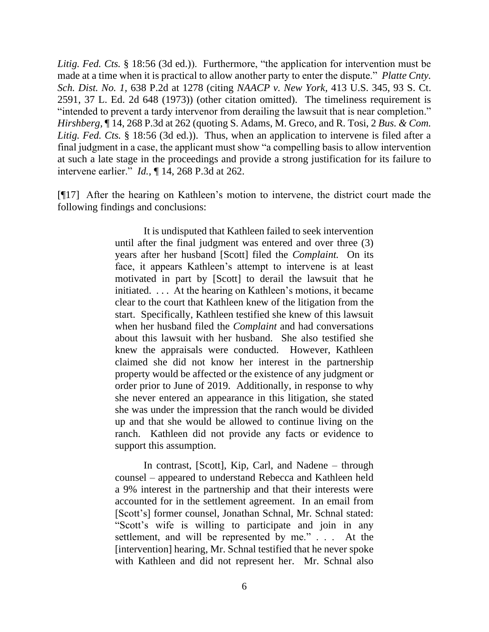*Litig. Fed. Cts.* [§ 18:56 \(3d ed.\)\)](http://www.westlaw.com/Link/Document/FullText?findType=Y&serNum=0306347702&pubNum=0117621&originatingDoc=Ib3db208d3b8f11e18da7c4363d0963b0&refType=TS&originationContext=document&vr=3.0&rs=cblt1.0&transitionType=DocumentItem&contextData=(sc.UserEnteredCitation)). Furthermore, "the application for intervention must be made at a time when it is practical to allow another party to enter the dispute." *Platte Cnty. Sch. Dist. No. 1,* 638 P.2d at 1278 (citing *NAACP v. New York,* 413 U.S. 345, 93 S. Ct. 2591, 37 L. Ed. 2d 648 (1973)) (other citation omitted). The timeliness requirement is "intended to prevent a tardy intervenor from derailing the lawsuit that is near completion." *Hirshberg,* ¶ 14, 268 P.3d at 262 (quoting S. Adams, M. Greco, and R. Tosi, 2 *[Bus. & Com.](http://www.westlaw.com/Link/Document/FullText?findType=Y&serNum=0306347702&pubNum=0117621&originatingDoc=Ib3db208d3b8f11e18da7c4363d0963b0&refType=TS&originationContext=document&vr=3.0&rs=cblt1.0&transitionType=DocumentItem&contextData=(sc.UserEnteredCitation))  Litig. Fed. Cts.* [§ 18:56 \(3d ed.\)\)](http://www.westlaw.com/Link/Document/FullText?findType=Y&serNum=0306347702&pubNum=0117621&originatingDoc=Ib3db208d3b8f11e18da7c4363d0963b0&refType=TS&originationContext=document&vr=3.0&rs=cblt1.0&transitionType=DocumentItem&contextData=(sc.UserEnteredCitation)). Thus, when an application to intervene is filed after a final judgment in a case, the applicant must show "a compelling basis to allow intervention at such a late stage in the proceedings and provide a strong justification for its failure to intervene earlier." *Id.,* ¶ 14, 268 P.3d at 262.

[¶17] After the hearing on Kathleen's motion to intervene, the district court made the following findings and conclusions:

> It is undisputed that Kathleen failed to seek intervention until after the final judgment was entered and over three (3) years after her husband [Scott] filed the *Complaint.* On its face, it appears Kathleen's attempt to intervene is at least motivated in part by [Scott] to derail the lawsuit that he initiated. . . . At the hearing on Kathleen's motions, it became clear to the court that Kathleen knew of the litigation from the start. Specifically, Kathleen testified she knew of this lawsuit when her husband filed the *Complaint* and had conversations about this lawsuit with her husband. She also testified she knew the appraisals were conducted. However, Kathleen claimed she did not know her interest in the partnership property would be affected or the existence of any judgment or order prior to June of 2019. Additionally, in response to why she never entered an appearance in this litigation, she stated she was under the impression that the ranch would be divided up and that she would be allowed to continue living on the ranch. Kathleen did not provide any facts or evidence to support this assumption.

> In contrast, [Scott], Kip, Carl, and Nadene – through counsel – appeared to understand Rebecca and Kathleen held a 9% interest in the partnership and that their interests were accounted for in the settlement agreement. In an email from [Scott's] former counsel, Jonathan Schnal, Mr. Schnal stated: "Scott's wife is willing to participate and join in any settlement, and will be represented by me." . . . At the [intervention] hearing, Mr. Schnal testified that he never spoke with Kathleen and did not represent her. Mr. Schnal also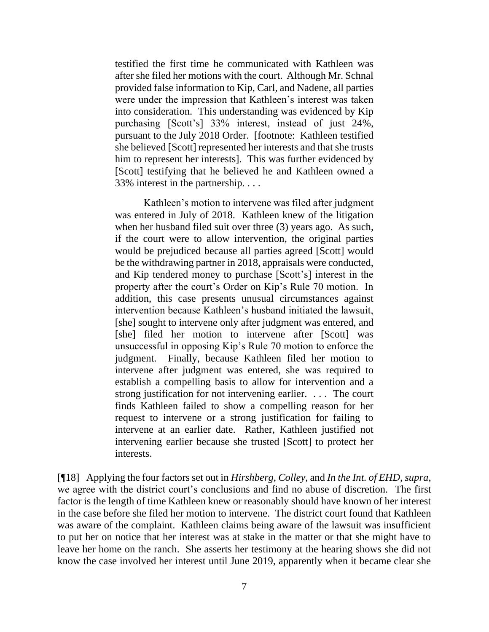testified the first time he communicated with Kathleen was after she filed her motions with the court. Although Mr. Schnal provided false information to Kip, Carl, and Nadene, all parties were under the impression that Kathleen's interest was taken into consideration. This understanding was evidenced by Kip purchasing [Scott's] 33% interest, instead of just 24%, pursuant to the July 2018 Order. [footnote: Kathleen testified she believed [Scott] represented her interests and that she trusts him to represent her interests]. This was further evidenced by [Scott] testifying that he believed he and Kathleen owned a 33% interest in the partnership. . . .

Kathleen's motion to intervene was filed after judgment was entered in July of 2018. Kathleen knew of the litigation when her husband filed suit over three (3) years ago. As such, if the court were to allow intervention, the original parties would be prejudiced because all parties agreed [Scott] would be the withdrawing partner in 2018, appraisals were conducted, and Kip tendered money to purchase [Scott's] interest in the property after the court's Order on Kip's Rule 70 motion. In addition, this case presents unusual circumstances against intervention because Kathleen's husband initiated the lawsuit, [she] sought to intervene only after judgment was entered, and [she] filed her motion to intervene after [Scott] was unsuccessful in opposing Kip's Rule 70 motion to enforce the judgment. Finally, because Kathleen filed her motion to intervene after judgment was entered, she was required to establish a compelling basis to allow for intervention and a strong justification for not intervening earlier. . . . The court finds Kathleen failed to show a compelling reason for her request to intervene or a strong justification for failing to intervene at an earlier date. Rather, Kathleen justified not intervening earlier because she trusted [Scott] to protect her interests.

[¶18] Applying the four factors set out in *Hirshberg, Colley,* and *In the Int. of EHD, supra*, we agree with the district court's conclusions and find no abuse of discretion. The first factor is the length of time Kathleen knew or reasonably should have known of her interest in the case before she filed her motion to intervene. The district court found that Kathleen was aware of the complaint. Kathleen claims being aware of the lawsuit was insufficient to put her on notice that her interest was at stake in the matter or that she might have to leave her home on the ranch. She asserts her testimony at the hearing shows she did not know the case involved her interest until June 2019, apparently when it became clear she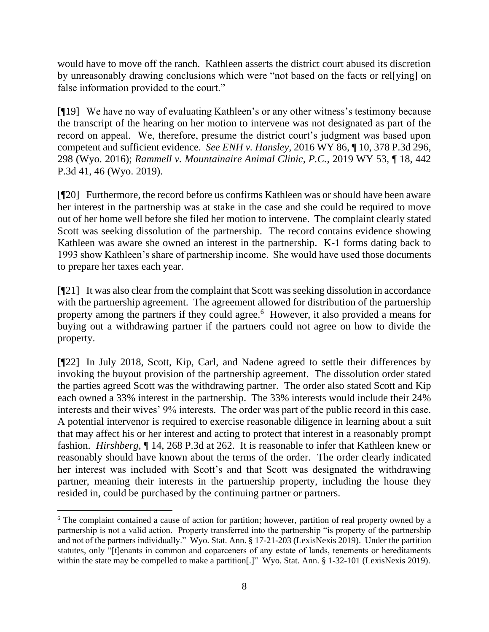would have to move off the ranch. Kathleen asserts the district court abused its discretion by unreasonably drawing conclusions which were "not based on the facts or rel[ying] on false information provided to the court."

[¶19] We have no way of evaluating Kathleen's or any other witness's testimony because the transcript of the hearing on her motion to intervene was not designated as part of the record on appeal. We, therefore, presume the district court's judgment was based upon competent and sufficient evidence. *See ENH v. Hansley,* 2016 WY 86, ¶ 10, 378 P.3d 296, 298 (Wyo. 2016); *Rammell v. Mountainaire Animal Clinic, P.C.,* 2019 WY 53, ¶ 18, 442 P.3d 41, 46 (Wyo. 2019).

[¶20] Furthermore, the record before us confirms Kathleen was or should have been aware her interest in the partnership was at stake in the case and she could be required to move out of her home well before she filed her motion to intervene. The complaint clearly stated Scott was seeking dissolution of the partnership. The record contains evidence showing Kathleen was aware she owned an interest in the partnership. K-1 forms dating back to 1993 show Kathleen's share of partnership income. She would have used those documents to prepare her taxes each year.

[¶21] It was also clear from the complaint that Scott was seeking dissolution in accordance with the partnership agreement. The agreement allowed for distribution of the partnership property among the partners if they could agree.<sup>6</sup> However, it also provided a means for buying out a withdrawing partner if the partners could not agree on how to divide the property.

[¶22] In July 2018, Scott, Kip, Carl, and Nadene agreed to settle their differences by invoking the buyout provision of the partnership agreement. The dissolution order stated the parties agreed Scott was the withdrawing partner. The order also stated Scott and Kip each owned a 33% interest in the partnership. The 33% interests would include their 24% interests and their wives' 9% interests. The order was part of the public record in this case. A potential intervenor is required to exercise reasonable diligence in learning about a suit that may affect his or her interest and acting to protect that interest in a reasonably prompt fashion. *Hirshberg,* ¶ 14, 268 P.3d at 262. It is reasonable to infer that Kathleen knew or reasonably should have known about the terms of the order. The order clearly indicated her interest was included with Scott's and that Scott was designated the withdrawing partner, meaning their interests in the partnership property, including the house they resided in, could be purchased by the continuing partner or partners.

<sup>&</sup>lt;sup>6</sup> The complaint contained a cause of action for partition; however, partition of real property owned by a partnership is not a valid action. Property transferred into the partnership "is property of the partnership and not of the partners individually." Wyo. Stat. Ann. § 17-21-203 (LexisNexis 2019). Under the partition statutes, only "[t]enants in common and coparceners of any estate of lands, tenements or hereditaments within the state may be compelled to make a partition[.]" Wyo. Stat. Ann. § 1-32-101 (LexisNexis 2019).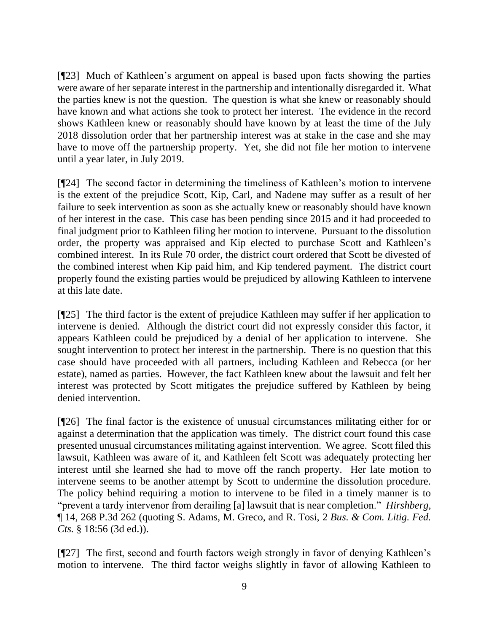[¶23] Much of Kathleen's argument on appeal is based upon facts showing the parties were aware of her separate interest in the partnership and intentionally disregarded it. What the parties knew is not the question. The question is what she knew or reasonably should have known and what actions she took to protect her interest. The evidence in the record shows Kathleen knew or reasonably should have known by at least the time of the July 2018 dissolution order that her partnership interest was at stake in the case and she may have to move off the partnership property. Yet, she did not file her motion to intervene until a year later, in July 2019.

[¶24] The second factor in determining the timeliness of Kathleen's motion to intervene is the extent of the prejudice Scott, Kip, Carl, and Nadene may suffer as a result of her failure to seek intervention as soon as she actually knew or reasonably should have known of her interest in the case. This case has been pending since 2015 and it had proceeded to final judgment prior to Kathleen filing her motion to intervene. Pursuant to the dissolution order, the property was appraised and Kip elected to purchase Scott and Kathleen's combined interest. In its Rule 70 order, the district court ordered that Scott be divested of the combined interest when Kip paid him, and Kip tendered payment. The district court properly found the existing parties would be prejudiced by allowing Kathleen to intervene at this late date.

[¶25] The third factor is the extent of prejudice Kathleen may suffer if her application to intervene is denied. Although the district court did not expressly consider this factor, it appears Kathleen could be prejudiced by a denial of her application to intervene. She sought intervention to protect her interest in the partnership. There is no question that this case should have proceeded with all partners, including Kathleen and Rebecca (or her estate), named as parties. However, the fact Kathleen knew about the lawsuit and felt her interest was protected by Scott mitigates the prejudice suffered by Kathleen by being denied intervention.

[¶26] The final factor is the existence of unusual circumstances militating either for or against a determination that the application was timely. The district court found this case presented unusual circumstances militating against intervention. We agree. Scott filed this lawsuit, Kathleen was aware of it, and Kathleen felt Scott was adequately protecting her interest until she learned she had to move off the ranch property. Her late motion to intervene seems to be another attempt by Scott to undermine the dissolution procedure. The policy behind requiring a motion to intervene to be filed in a timely manner is to "prevent a tardy intervenor from derailing [a] lawsuit that is near completion." *Hirshberg,*  ¶ 14, 268 P.3d 262 (quoting S. Adams, M. Greco, and R. Tosi, 2 *[Bus. & Com. Litig. Fed.](http://www.westlaw.com/Link/Document/FullText?findType=Y&serNum=0306347702&pubNum=0117621&originatingDoc=Ib3db208d3b8f11e18da7c4363d0963b0&refType=TS&originationContext=document&vr=3.0&rs=cblt1.0&transitionType=DocumentItem&contextData=(sc.UserEnteredCitation))  Cts.* [§ 18:56 \(3d ed.\)\)](http://www.westlaw.com/Link/Document/FullText?findType=Y&serNum=0306347702&pubNum=0117621&originatingDoc=Ib3db208d3b8f11e18da7c4363d0963b0&refType=TS&originationContext=document&vr=3.0&rs=cblt1.0&transitionType=DocumentItem&contextData=(sc.UserEnteredCitation)).

[¶27] The first, second and fourth factors weigh strongly in favor of denying Kathleen's motion to intervene. The third factor weighs slightly in favor of allowing Kathleen to